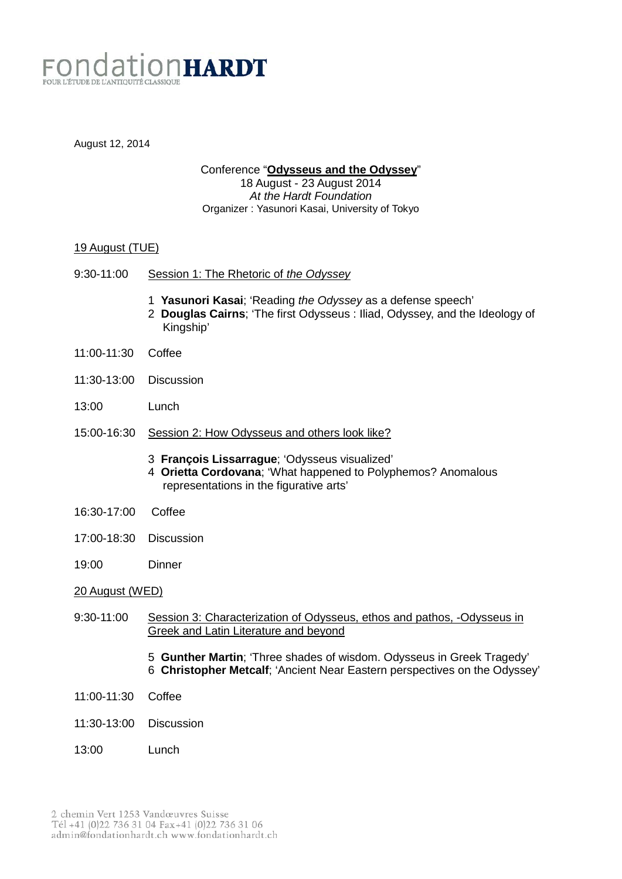

August 12, 2014

Conference "**Odysseus and the Odyssey**"

18 August - 23 August 2014 *At the Hardt Foundation* Organizer : Yasunori Kasai, University of Tokyo

# 19 August (TUE)

- 9:30-11:00 Session 1: The Rhetoric of *the Odyssey*
	- 1 **Yasunori Kasai**; 'Reading *the Odyssey* as a defense speech'
	- 2 **Douglas Cairns**; 'The first Odysseus : Iliad, Odyssey, and the Ideology of Kingship'
- 11:00-11:30 Coffee
- 11:30-13:00 Discussion
- 13:00 Lunch
- 15:00-16:30 Session 2: How Odysseus and others look like?
	- 3 **François Lissarrague**; 'Odysseus visualized'
	- 4 **Orietta Cordovana**; 'What happened to Polyphemos? Anomalous representations in the figurative arts'
- 16:30-17:00 Coffee
- 17:00-18:30 Discussion
- 19:00 Dinner

## 20 August (WED)

- 9:30-11:00 Session 3: Characterization of Odysseus, ethos and pathos, -Odysseus in Greek and Latin Literature and beyond
	- 5 **Gunther Martin**; 'Three shades of wisdom. Odysseus in Greek Tragedy' 6 **Christopher Metcalf**; 'Ancient Near Eastern perspectives on the Odyssey'
- 11:00-11:30 Coffee
- 11:30-13:00 Discussion
- 13:00 Lunch